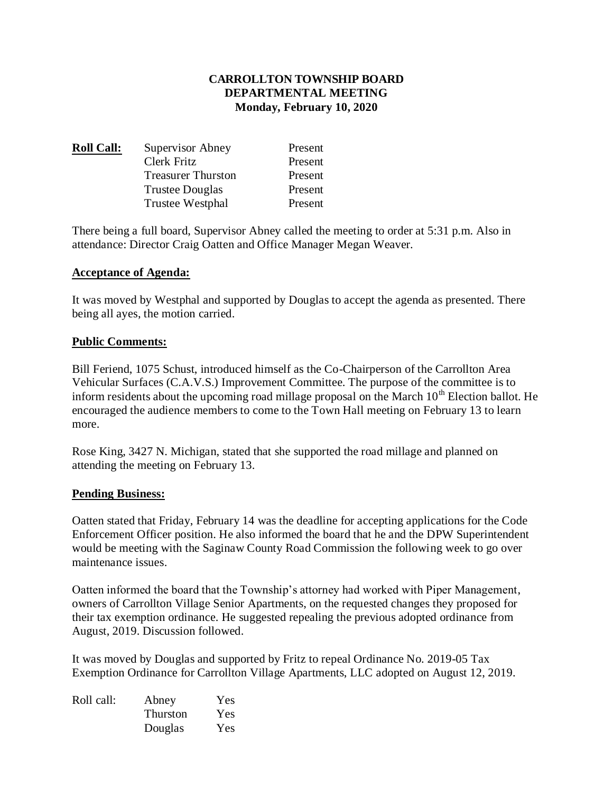# **CARROLLTON TOWNSHIP BOARD DEPARTMENTAL MEETING Monday, February 10, 2020**

| <b>Roll Call:</b> | Supervisor Abney          | Present |
|-------------------|---------------------------|---------|
|                   | Clerk Fritz               | Present |
|                   | <b>Treasurer Thurston</b> | Present |
|                   | <b>Trustee Douglas</b>    | Present |
|                   | <b>Trustee Westphal</b>   | Present |

There being a full board, Supervisor Abney called the meeting to order at 5:31 p.m. Also in attendance: Director Craig Oatten and Office Manager Megan Weaver.

### **Acceptance of Agenda:**

It was moved by Westphal and supported by Douglas to accept the agenda as presented. There being all ayes, the motion carried.

#### **Public Comments:**

Bill Feriend, 1075 Schust, introduced himself as the Co-Chairperson of the Carrollton Area Vehicular Surfaces (C.A.V.S.) Improvement Committee. The purpose of the committee is to inform residents about the upcoming road millage proposal on the March  $10<sup>th</sup>$  Election ballot. He encouraged the audience members to come to the Town Hall meeting on February 13 to learn more.

Rose King, 3427 N. Michigan, stated that she supported the road millage and planned on attending the meeting on February 13.

### **Pending Business:**

Oatten stated that Friday, February 14 was the deadline for accepting applications for the Code Enforcement Officer position. He also informed the board that he and the DPW Superintendent would be meeting with the Saginaw County Road Commission the following week to go over maintenance issues.

Oatten informed the board that the Township's attorney had worked with Piper Management, owners of Carrollton Village Senior Apartments, on the requested changes they proposed for their tax exemption ordinance. He suggested repealing the previous adopted ordinance from August, 2019. Discussion followed.

It was moved by Douglas and supported by Fritz to repeal Ordinance No. 2019-05 Tax Exemption Ordinance for Carrollton Village Apartments, LLC adopted on August 12, 2019.

| Roll call: | Abney           | Yes |
|------------|-----------------|-----|
|            | <b>Thurston</b> | Yes |
|            | Douglas         | Yes |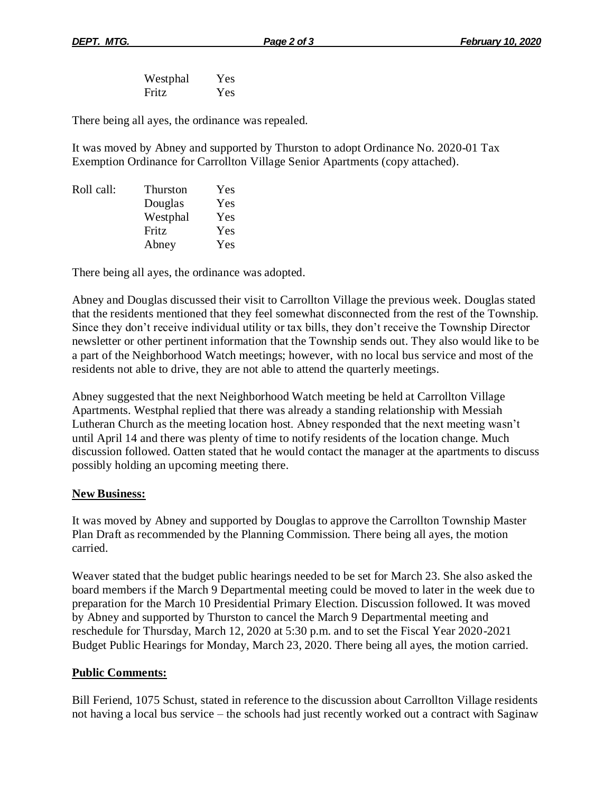Westphal Yes Fritz Yes

There being all ayes, the ordinance was repealed.

It was moved by Abney and supported by Thurston to adopt Ordinance No. 2020-01 Tax Exemption Ordinance for Carrollton Village Senior Apartments (copy attached).

| <b>Thurston</b> | Yes |
|-----------------|-----|
| Douglas         | Yes |
| Westphal        | Yes |
| Fritz           | Yes |
| Abney           | Yes |
|                 |     |

There being all ayes, the ordinance was adopted.

Abney and Douglas discussed their visit to Carrollton Village the previous week. Douglas stated that the residents mentioned that they feel somewhat disconnected from the rest of the Township. Since they don't receive individual utility or tax bills, they don't receive the Township Director newsletter or other pertinent information that the Township sends out. They also would like to be a part of the Neighborhood Watch meetings; however, with no local bus service and most of the residents not able to drive, they are not able to attend the quarterly meetings.

Abney suggested that the next Neighborhood Watch meeting be held at Carrollton Village Apartments. Westphal replied that there was already a standing relationship with Messiah Lutheran Church as the meeting location host. Abney responded that the next meeting wasn't until April 14 and there was plenty of time to notify residents of the location change. Much discussion followed. Oatten stated that he would contact the manager at the apartments to discuss possibly holding an upcoming meeting there.

### **New Business:**

It was moved by Abney and supported by Douglas to approve the Carrollton Township Master Plan Draft as recommended by the Planning Commission. There being all ayes, the motion carried.

Weaver stated that the budget public hearings needed to be set for March 23. She also asked the board members if the March 9 Departmental meeting could be moved to later in the week due to preparation for the March 10 Presidential Primary Election. Discussion followed. It was moved by Abney and supported by Thurston to cancel the March 9 Departmental meeting and reschedule for Thursday, March 12, 2020 at 5:30 p.m. and to set the Fiscal Year 2020-2021 Budget Public Hearings for Monday, March 23, 2020. There being all ayes, the motion carried.

### **Public Comments:**

Bill Feriend, 1075 Schust, stated in reference to the discussion about Carrollton Village residents not having a local bus service – the schools had just recently worked out a contract with Saginaw